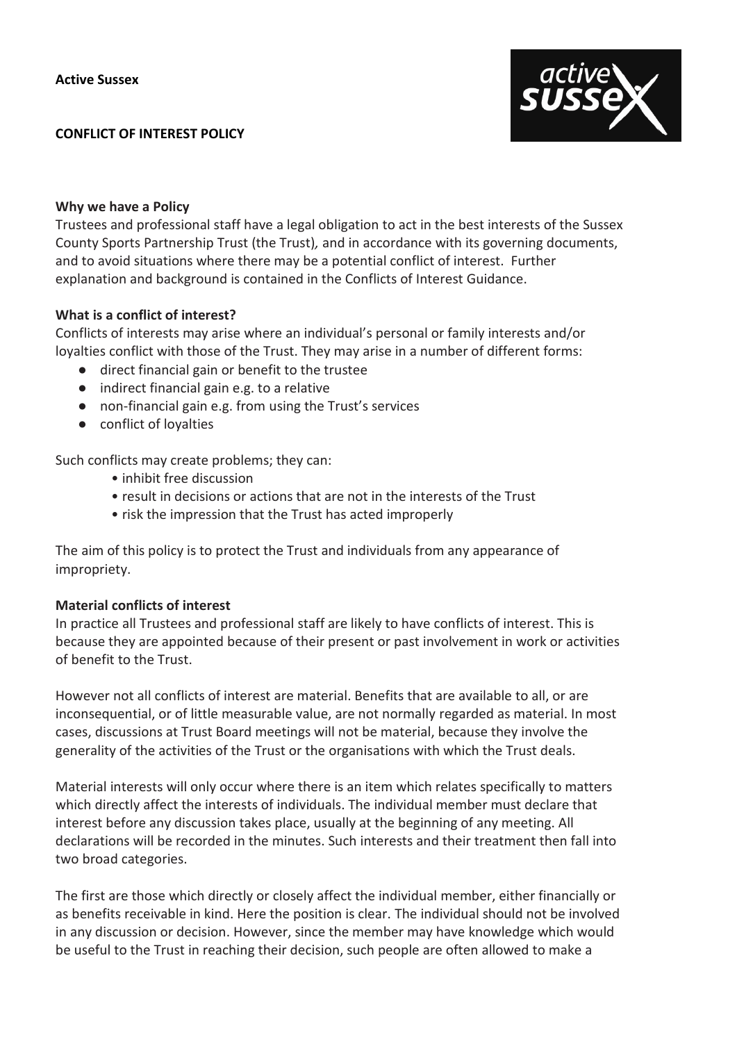#### **CONFLICT OF INTEREST POLICY**



#### **Why we have a Policy**

Trustees and professional staff have a legal obligation to act in the best interests of the Sussex County Sports Partnership Trust (the Trust)*,* and in accordance with its governing documents, and to avoid situations where there may be a potential conflict of interest. Further explanation and background is contained in the Conflicts of Interest Guidance.

### **What is a conflict of interest?**

Conflicts of interests may arise where an individual's personal or family interests and/or loyalties conflict with those of the Trust. They may arise in a number of different forms:

- direct financial gain or benefit to the trustee
- indirect financial gain e.g. to a relative
- non-financial gain e.g. from using the Trust's services
- conflict of loyalties

Such conflicts may create problems; they can:

- inhibit free discussion
- result in decisions or actions that are not in the interests of the Trust
- risk the impression that the Trust has acted improperly

The aim of this policy is to protect the Trust and individuals from any appearance of impropriety.

### **Material conflicts of interest**

In practice all Trustees and professional staff are likely to have conflicts of interest. This is because they are appointed because of their present or past involvement in work or activities of benefit to the Trust.

However not all conflicts of interest are material. Benefits that are available to all, or are inconsequential, or of little measurable value, are not normally regarded as material. In most cases, discussions at Trust Board meetings will not be material, because they involve the generality of the activities of the Trust or the organisations with which the Trust deals.

Material interests will only occur where there is an item which relates specifically to matters which directly affect the interests of individuals. The individual member must declare that interest before any discussion takes place, usually at the beginning of any meeting. All declarations will be recorded in the minutes. Such interests and their treatment then fall into two broad categories.

The first are those which directly or closely affect the individual member, either financially or as benefits receivable in kind. Here the position is clear. The individual should not be involved in any discussion or decision. However, since the member may have knowledge which would be useful to the Trust in reaching their decision, such people are often allowed to make a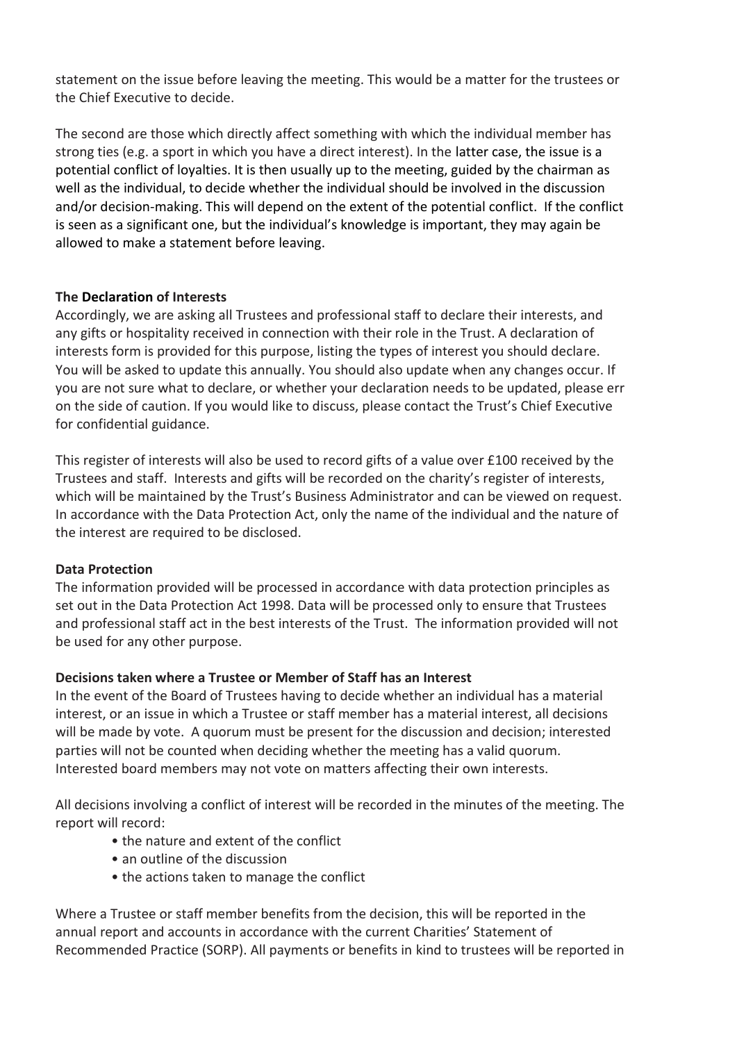statement on the issue before leaving the meeting. This would be a matter for the trustees or the Chief Executive to decide.

The second are those which directly affect something with which the individual member has strong ties (e.g. a sport in which you have a direct interest). In the latter case, the issue is a potential conflict of loyalties. It is then usually up to the meeting, guided by the chairman as well as the individual, to decide whether the individual should be involved in the discussion and/or decision-making. This will depend on the extent of the potential conflict. If the conflict is seen as a significant one, but the individual's knowledge is important, they may again be allowed to make a statement before leaving.

### **The Declaration of Interests**

Accordingly, we are asking all Trustees and professional staff to declare their interests, and any gifts or hospitality received in connection with their role in the Trust. A declaration of interests form is provided for this purpose, listing the types of interest you should declare. You will be asked to update this annually. You should also update when any changes occur. If you are not sure what to declare, or whether your declaration needs to be updated, please err on the side of caution. If you would like to discuss, please contact the Trust's Chief Executive for confidential guidance.

This register of interests will also be used to record gifts of a value over £100 received by the Trustees and staff. Interests and gifts will be recorded on the charity's register of interests, which will be maintained by the Trust's Business Administrator and can be viewed on request. In accordance with the Data Protection Act, only the name of the individual and the nature of the interest are required to be disclosed.

# **Data Protection**

The information provided will be processed in accordance with data protection principles as set out in the Data Protection Act 1998. Data will be processed only to ensure that Trustees and professional staff act in the best interests of the Trust. The information provided will not be used for any other purpose.

### **Decisions taken where a Trustee or Member of Staff has an Interest**

In the event of the Board of Trustees having to decide whether an individual has a material interest, or an issue in which a Trustee or staff member has a material interest, all decisions will be made by vote. A quorum must be present for the discussion and decision; interested parties will not be counted when deciding whether the meeting has a valid quorum. Interested board members may not vote on matters affecting their own interests.

All decisions involving a conflict of interest will be recorded in the minutes of the meeting. The report will record:

- the nature and extent of the conflict
- an outline of the discussion
- the actions taken to manage the conflict

Where a Trustee or staff member benefits from the decision, this will be reported in the annual report and accounts in accordance with the current Charities' Statement of Recommended Practice (SORP). All payments or benefits in kind to trustees will be reported in